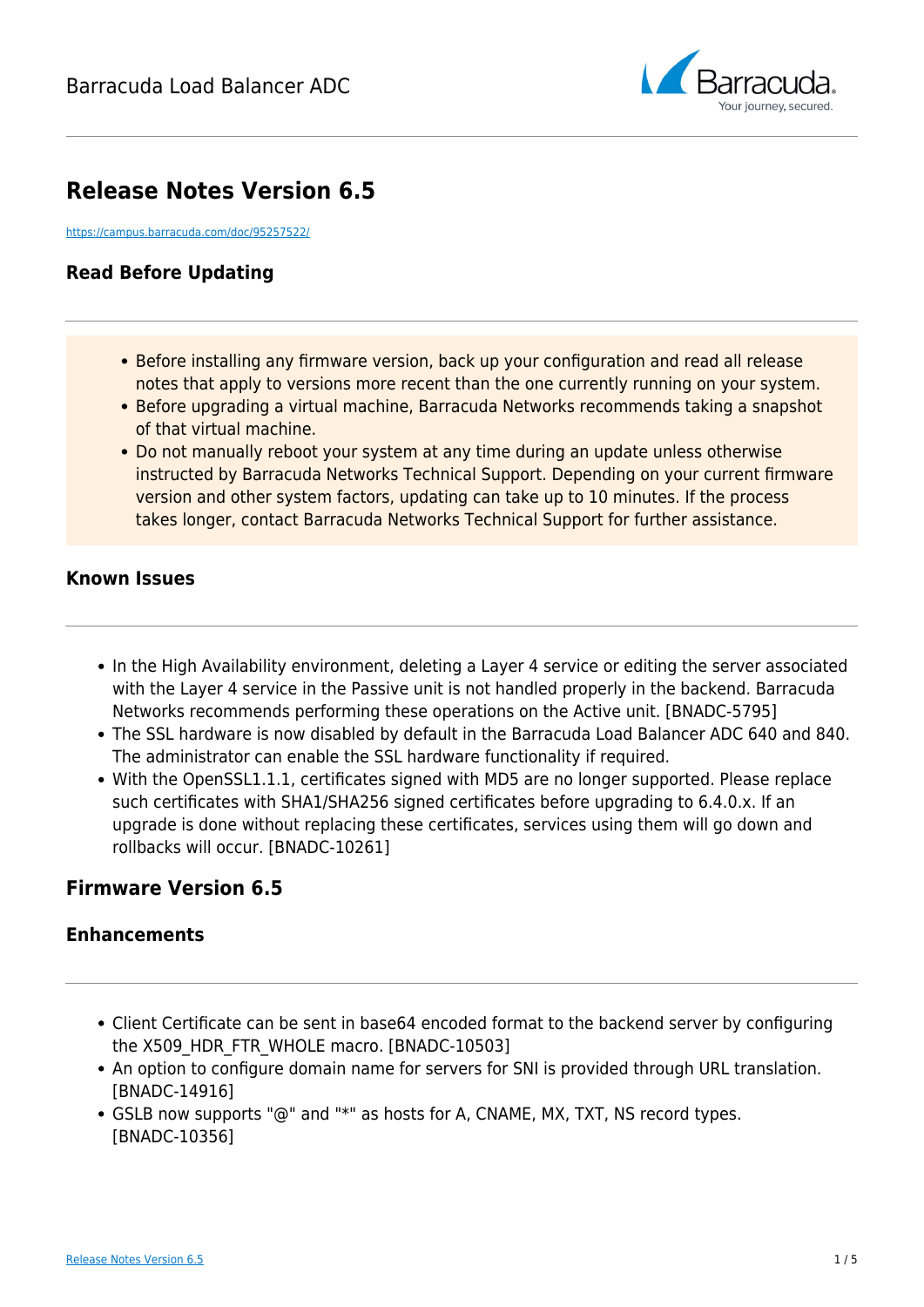

# **Release Notes Version 6.5**

<https://campus.barracuda.com/doc/95257522/>

# **Read Before Updating**

- Before installing any firmware version, back up your configuration and read all release notes that apply to versions more recent than the one currently running on your system.
- Before upgrading a virtual machine, Barracuda Networks recommends taking a snapshot of that virtual machine.
- Do not manually reboot your system at any time during an update unless otherwise instructed by Barracuda Networks Technical Support. Depending on your current firmware version and other system factors, updating can take up to 10 minutes. If the process takes longer, contact Barracuda Networks Technical Support for further assistance.

### **Known Issues**

- In the High Availability environment, deleting a Layer 4 service or editing the server associated with the Layer 4 service in the Passive unit is not handled properly in the backend. Barracuda Networks recommends performing these operations on the Active unit. [BNADC-5795]
- The SSL hardware is now disabled by default in the Barracuda Load Balancer ADC 640 and 840. The administrator can enable the SSL hardware functionality if required.
- With the OpenSSL1.1.1, certificates signed with MD5 are no longer supported. Please replace such certificates with SHA1/SHA256 signed certificates before upgrading to 6.4.0.x. If an upgrade is done without replacing these certificates, services using them will go down and rollbacks will occur. [BNADC-10261]

# **Firmware Version 6.5**

# **Enhancements**

- Client Certificate can be sent in base64 encoded format to the backend server by configuring the X509 HDR FTR WHOLE macro. [BNADC-10503]
- An option to configure domain name for servers for SNI is provided through URL translation. [BNADC-14916]
- GSLB now supports "@" and "\*" as hosts for A, CNAME, MX, TXT, NS record types. [BNADC-10356]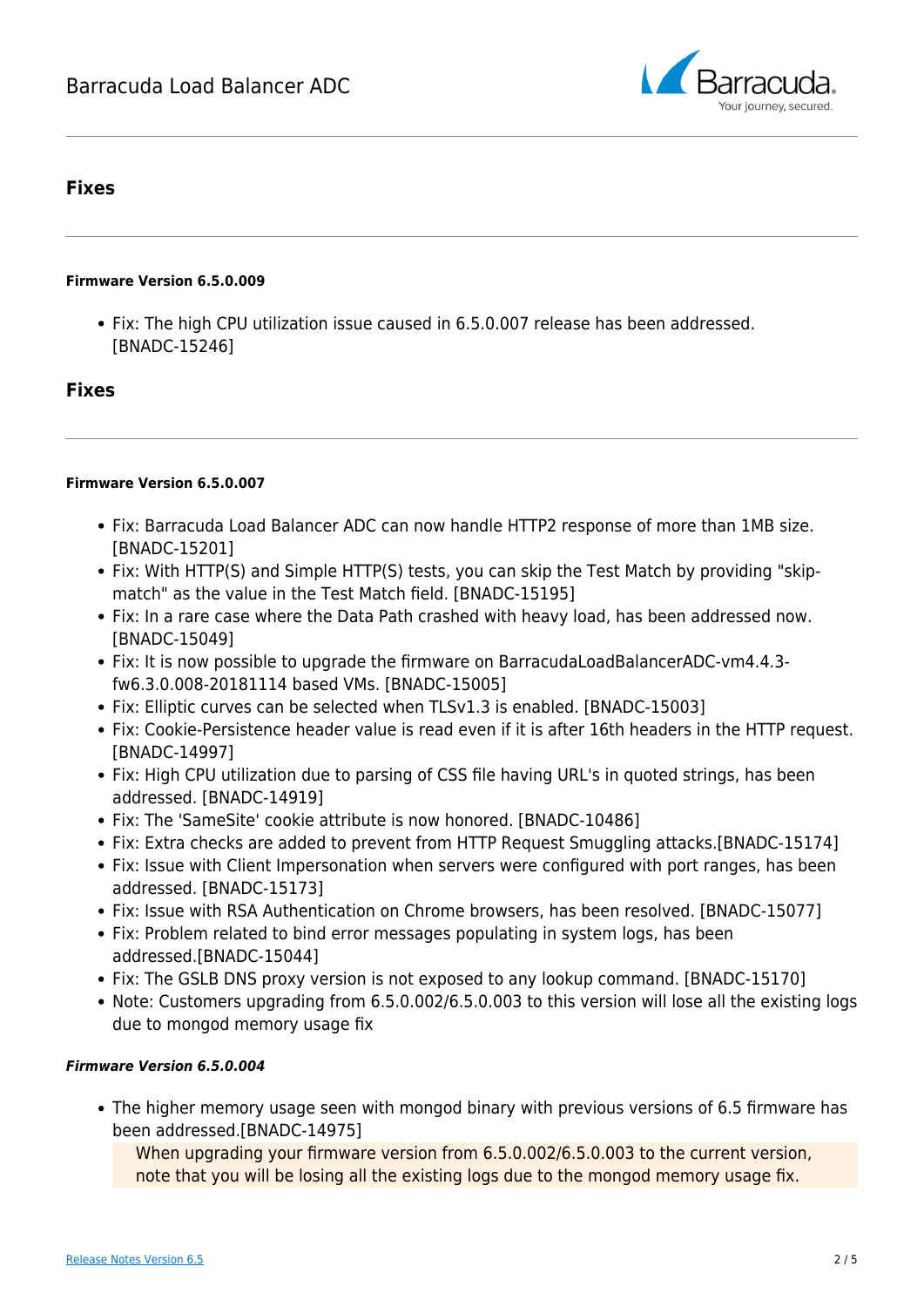

## **Fixes**

#### **Firmware Version 6.5.0.009**

Fix: The high CPU utilization issue caused in 6.5.0.007 release has been addressed. [BNADC-15246]

### **Fixes**

#### **Firmware Version 6.5.0.007**

- Fix: Barracuda Load Balancer ADC can now handle HTTP2 response of more than 1MB size. [BNADC-15201]
- Fix: With HTTP(S) and Simple HTTP(S) tests, you can skip the Test Match by providing "skipmatch" as the value in the Test Match field. [BNADC-15195]
- Fix: In a rare case where the Data Path crashed with heavy load, has been addressed now. [BNADC-15049]
- Fix: It is now possible to upgrade the firmware on BarracudaLoadBalancerADC-vm4.4.3 fw6.3.0.008-20181114 based VMs. [BNADC-15005]
- Fix: Elliptic curves can be selected when TLSv1.3 is enabled. [BNADC-15003]
- Fix: Cookie-Persistence header value is read even if it is after 16th headers in the HTTP request. [BNADC-14997]
- Fix: High CPU utilization due to parsing of CSS file having URL's in quoted strings, has been addressed. [BNADC-14919]
- Fix: The 'SameSite' cookie attribute is now honored. [BNADC-10486]
- Fix: Extra checks are added to prevent from HTTP Request Smuggling attacks.[BNADC-15174]
- Fix: Issue with Client Impersonation when servers were configured with port ranges, has been addressed. [BNADC-15173]
- Fix: Issue with RSA Authentication on Chrome browsers, has been resolved. [BNADC-15077]
- Fix: Problem related to bind error messages populating in system logs, has been addressed.[BNADC-15044]
- Fix: The GSLB DNS proxy version is not exposed to any lookup command. [BNADC-15170]
- Note: Customers upgrading from 6.5.0.002/6.5.0.003 to this version will lose all the existing logs due to mongod memory usage fix

#### *Firmware Version 6.5.0.004*

The higher memory usage seen with mongod binary with previous versions of 6.5 firmware has been addressed.[BNADC-14975]

When upgrading your firmware version from 6.5.0.002/6.5.0.003 to the current version, note that you will be losing all the existing logs due to the mongod memory usage fix.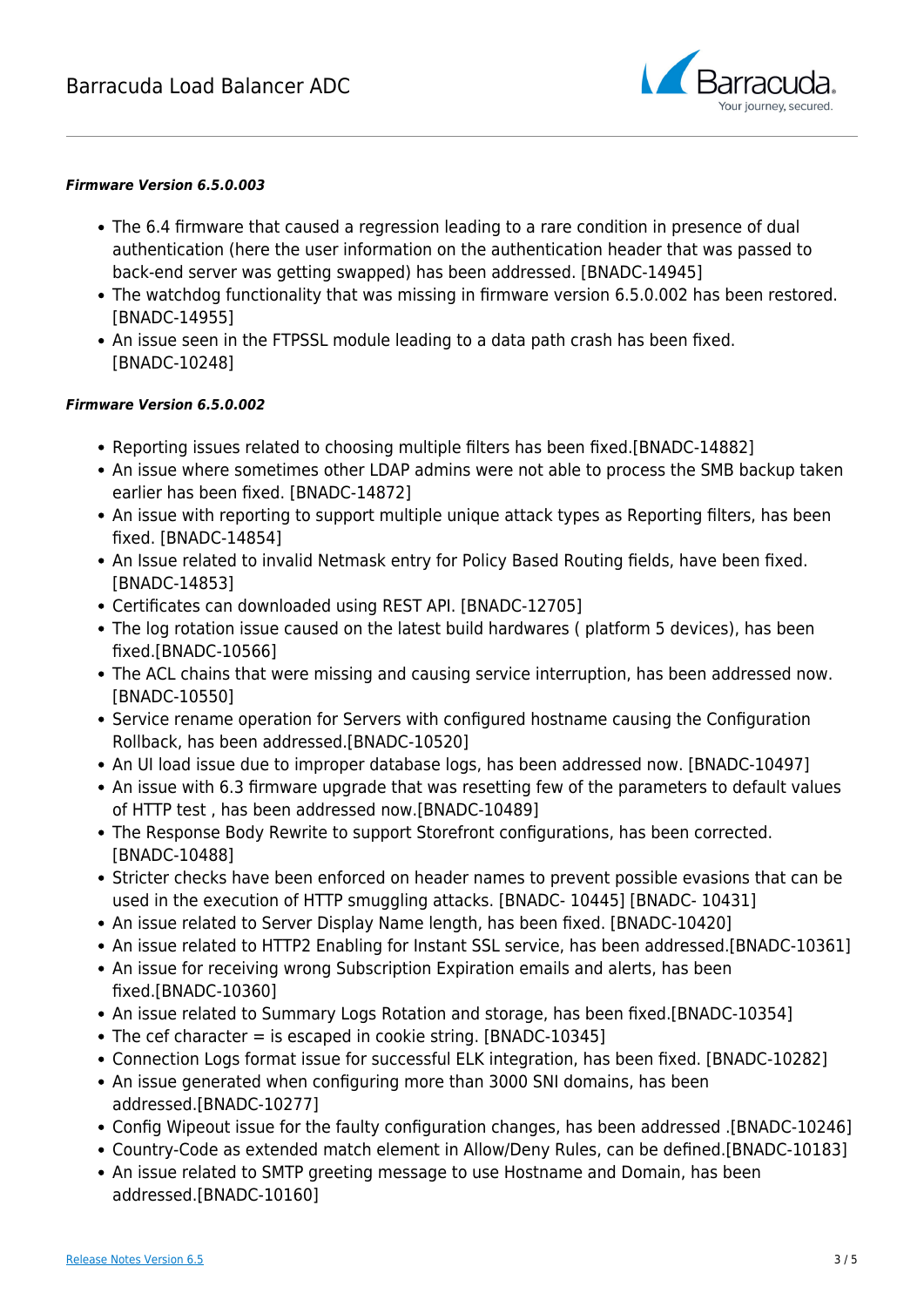

#### *Firmware Version 6.5.0.003*

- The 6.4 firmware that caused a regression leading to a rare condition in presence of dual authentication (here the user information on the authentication header that was passed to back-end server was getting swapped) has been addressed. [BNADC-14945]
- The watchdog functionality that was missing in firmware version 6.5.0.002 has been restored. [BNADC-14955]
- An issue seen in the FTPSSL module leading to a data path crash has been fixed. [BNADC-10248]

#### *Firmware Version 6.5.0.002*

- Reporting issues related to choosing multiple filters has been fixed.[BNADC-14882]
- An issue where sometimes other LDAP admins were not able to process the SMB backup taken earlier has been fixed. [BNADC-14872]
- An issue with reporting to support multiple unique attack types as Reporting filters, has been fixed. [BNADC-14854]
- An Issue related to invalid Netmask entry for Policy Based Routing fields, have been fixed. [BNADC-14853]
- Certificates can downloaded using REST API. [BNADC-12705]
- The log rotation issue caused on the latest build hardwares ( platform 5 devices), has been fixed.[BNADC-10566]
- The ACL chains that were missing and causing service interruption, has been addressed now. [BNADC-10550]
- Service rename operation for Servers with configured hostname causing the Configuration Rollback, has been addressed.[BNADC-10520]
- An UI load issue due to improper database logs, has been addressed now. [BNADC-10497]
- An issue with 6.3 firmware upgrade that was resetting few of the parameters to default values of HTTP test , has been addressed now.[BNADC-10489]
- The Response Body Rewrite to support Storefront configurations, has been corrected. [BNADC-10488]
- Stricter checks have been enforced on header names to prevent possible evasions that can be used in the execution of HTTP smuggling attacks. [BNADC- 10445] [BNADC- 10431]
- An issue related to Server Display Name length, has been fixed. [BNADC-10420]
- An issue related to HTTP2 Enabling for Instant SSL service, has been addressed.[BNADC-10361]
- An issue for receiving wrong Subscription Expiration emails and alerts, has been fixed.[BNADC-10360]
- An issue related to Summary Logs Rotation and storage, has been fixed.[BNADC-10354]
- The cef character  $=$  is escaped in cookie string. [BNADC-10345]
- Connection Logs format issue for successful ELK integration, has been fixed. [BNADC-10282]
- An issue generated when configuring more than 3000 SNI domains, has been addressed.[BNADC-10277]
- Config Wipeout issue for the faulty configuration changes, has been addressed .[BNADC-10246]
- Country-Code as extended match element in Allow/Deny Rules, can be defined.[BNADC-10183]
- An issue related to SMTP greeting message to use Hostname and Domain, has been addressed.[BNADC-10160]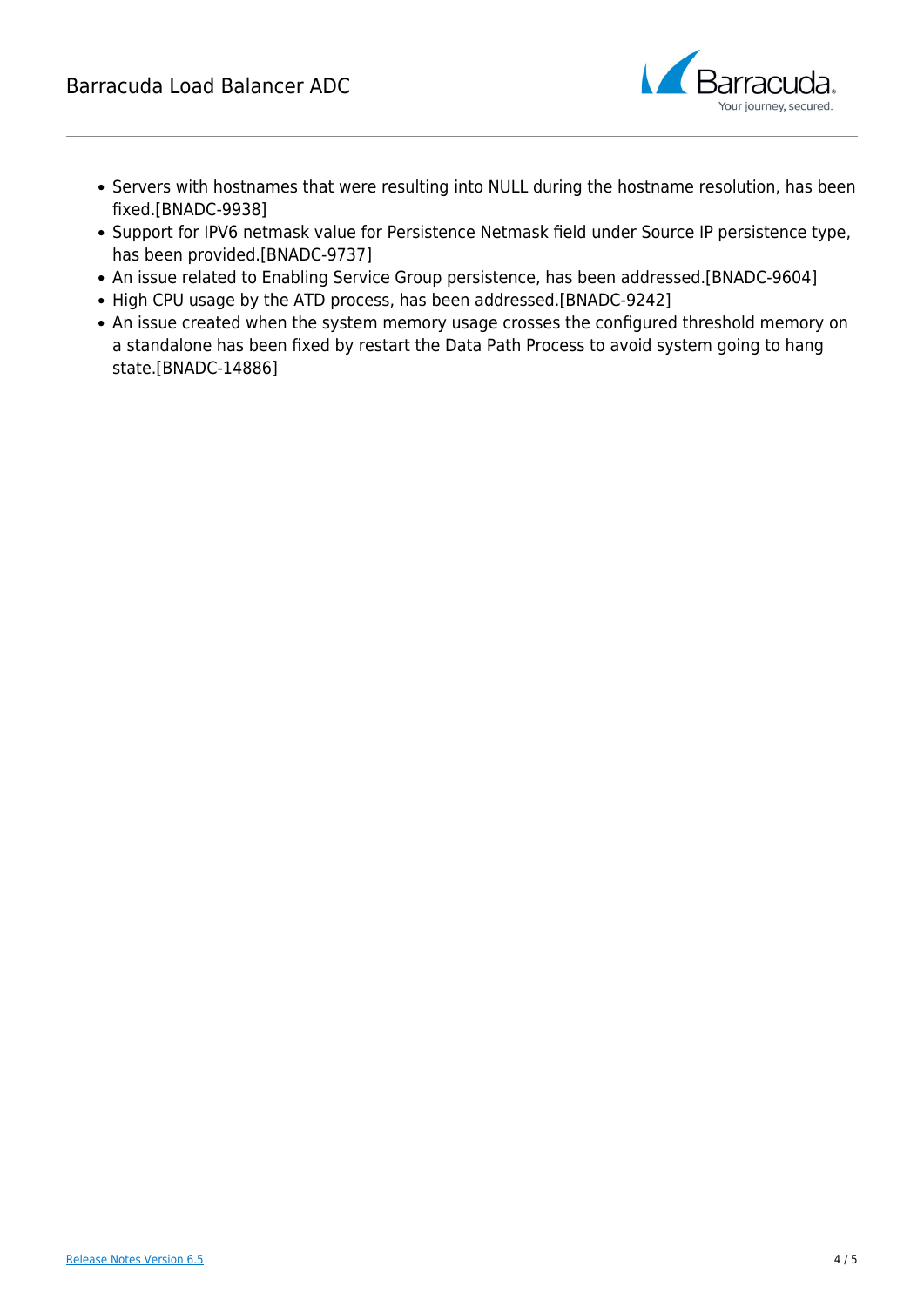

- Servers with hostnames that were resulting into NULL during the hostname resolution, has been fixed.[BNADC-9938]
- Support for IPV6 netmask value for Persistence Netmask field under Source IP persistence type, has been provided.[BNADC-9737]
- An issue related to Enabling Service Group persistence, has been addressed.[BNADC-9604]
- High CPU usage by the ATD process, has been addressed.[BNADC-9242]
- An issue created when the system memory usage crosses the configured threshold memory on a standalone has been fixed by restart the Data Path Process to avoid system going to hang state.[BNADC-14886]